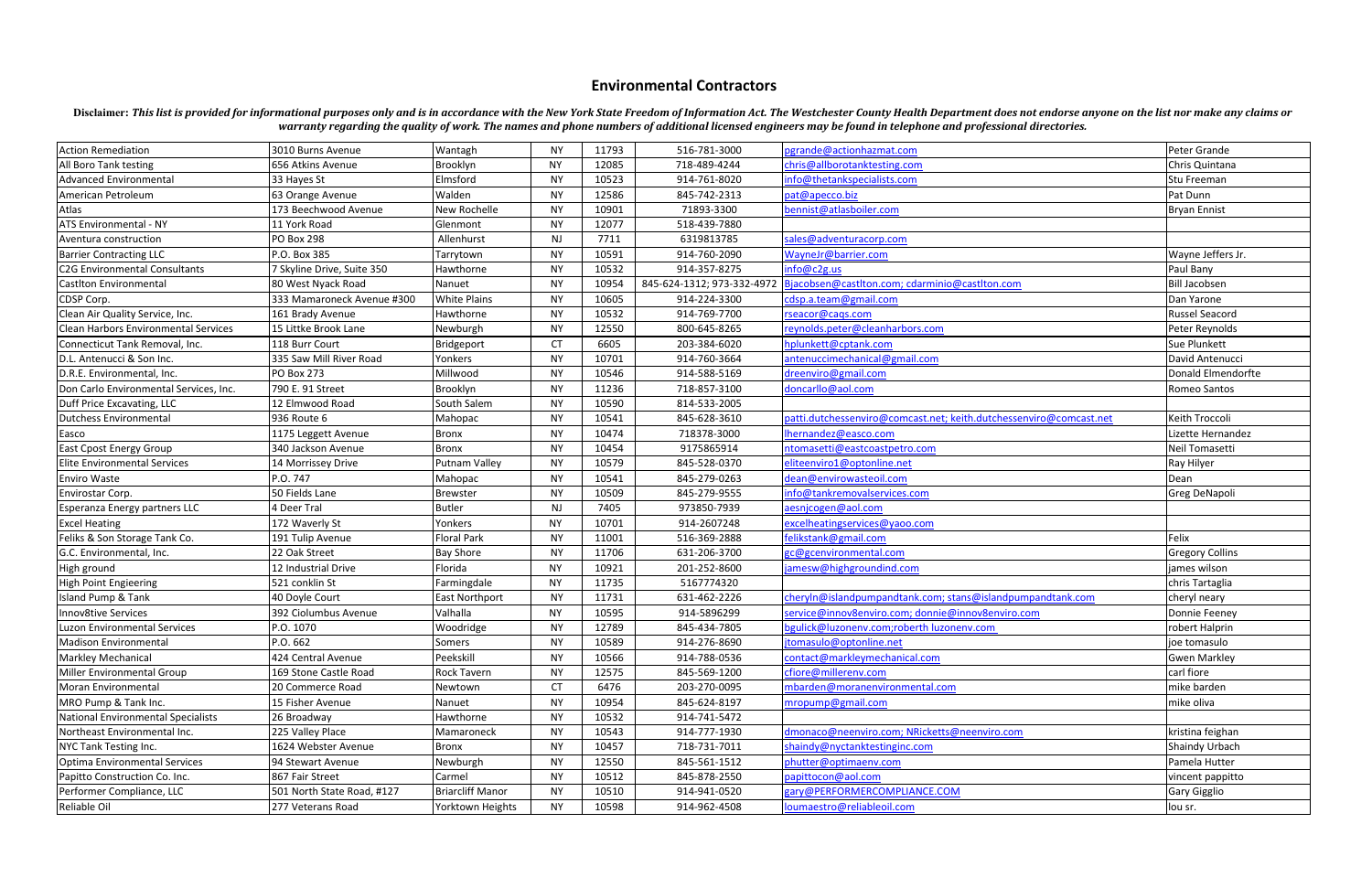## **Environmental Contractors**

Disclaimer: This list is provided for informational purposes only and is in accordance with the New York State Freedom of Information Act. The Westchester County Health Department does not endorse anyone on the list nor ma *warranty regarding the quality of work. The names and phone numbers of additional licensed engineers may be found in telephone and professional directories.* 

| <b>Action Remediation</b>                   | 3010 Burns Avenue          | Wantagh                 | <b>NY</b> | 11793 | 516-781-3000               | pgrande@actionhazmat.com                                           | Peter Grande           |
|---------------------------------------------|----------------------------|-------------------------|-----------|-------|----------------------------|--------------------------------------------------------------------|------------------------|
| All Boro Tank testing                       | 656 Atkins Avenue          | Brooklyn                | <b>NY</b> | 12085 | 718-489-4244               | chris@allborotanktesting.com                                       | Chris Quintana         |
| <b>Advanced Environmental</b>               | 33 Hayes St                | Elmsford                | <b>NY</b> | 10523 | 914-761-8020               | info@thetankspecialists.com                                        | Stu Freeman            |
| American Petroleum                          | 63 Orange Avenue           | Walden                  | <b>NY</b> | 12586 | 845-742-2313               | pat@apecco.biz                                                     | Pat Dunn               |
| Atlas                                       | 173 Beechwood Avenue       | New Rochelle            | <b>NY</b> | 10901 | 71893-3300                 | bennist@atlasboiler.com                                            | <b>Bryan Ennist</b>    |
| ATS Environmental - NY                      | 11 York Road               | Glenmont                | <b>NY</b> | 12077 | 518-439-7880               |                                                                    |                        |
| Aventura construction                       | <b>PO Box 298</b>          | Allenhurst              | NJ.       | 7711  | 6319813785                 | sales@adventuracorp.com                                            |                        |
| <b>Barrier Contracting LLC</b>              | P.O. Box 385               | Tarrytown               | <b>NY</b> | 10591 | 914-760-2090               | WayneJr@barrier.com                                                | Wayne Jeffers Jr.      |
| <b>C2G Environmental Consultants</b>        | 7 Skyline Drive, Suite 350 | Hawthorne               | <b>NY</b> | 10532 | 914-357-8275               | info@c2g.us                                                        | Paul Bany              |
| <b>CastIton Environmental</b>               | 80 West Nyack Road         | Nanuet                  | <b>NY</b> | 10954 | 845-624-1312; 973-332-4972 | Bjacobsen@castlton.com; cdarminio@castlton.com                     | <b>Bill Jacobsen</b>   |
| CDSP Corp.                                  | 333 Mamaroneck Avenue #300 | <b>White Plains</b>     | <b>NY</b> | 10605 | 914-224-3300               | cdsp.a.team@gmail.com                                              | Dan Yarone             |
| Clean Air Quality Service, Inc.             | 161 Brady Avenue           | Hawthorne               | <b>NY</b> | 10532 | 914-769-7700               | rseacor@cags.com                                                   | Russel Seacord         |
| <b>Clean Harbors Environmental Services</b> | 15 Littke Brook Lane       | Newburgh                | NY.       | 12550 | 800-645-8265               | reynolds.peter@cleanharbors.com                                    | Peter Reynolds         |
| Connecticut Tank Removal, Inc.              | 118 Burr Court             | Bridgeport              | CT.       | 6605  | 203-384-6020               | hplunkett@cptank.com                                               | Sue Plunkett           |
| D.L. Antenucci & Son Inc.                   | 335 Saw Mill River Road    | Yonkers                 | <b>NY</b> | 10701 | 914-760-3664               | antenuccimechanical@gmail.com                                      | David Antenucci        |
| D.R.E. Environmental, Inc.                  | <b>PO Box 273</b>          | Millwood                | <b>NY</b> | 10546 | 914-588-5169               | dreenviro@gmail.com                                                | Donald Elmendorfte     |
| Don Carlo Environmental Services, Inc.      | 790 E. 91 Street           | Brooklyn                | <b>NY</b> | 11236 | 718-857-3100               | doncarllo@aol.com                                                  | Romeo Santos           |
| Duff Price Excavating, LLC                  | 12 Elmwood Road            | South Salem             | <b>NY</b> | 10590 | 814-533-2005               |                                                                    |                        |
| Dutchess Environmental                      | 936 Route 6                | Mahopac                 | <b>NY</b> | 10541 | 845-628-3610               | patti.dutchessenviro@comcast.net; keith.dutchessenviro@comcast.net | Keith Troccoli         |
| Easco                                       | 1175 Leggett Avenue        | Bronx                   | <b>NY</b> | 10474 | 718378-3000                | Ihernandez@easco.com                                               | Lizette Hernandez      |
| <b>East Cpost Energy Group</b>              | 340 Jackson Avenue         | Bronx                   | <b>NY</b> | 10454 | 9175865914                 | ntomasetti@eastcoastpetro.com                                      | Neil Tomasetti         |
| <b>Elite Environmental Services</b>         | 14 Morrissey Drive         | Putnam Valley           | <b>NY</b> | 10579 | 845-528-0370               | eliteenviro1@optonline.net                                         | Ray Hilyer             |
| <b>Enviro Waste</b>                         | P.O. 747                   | Mahopac                 | <b>NY</b> | 10541 | 845-279-0263               | dean@envirowasteoil.com                                            | Dean                   |
| Envirostar Corp.                            | 50 Fields Lane             | <b>Brewster</b>         | <b>NY</b> | 10509 | 845-279-9555               | info@tankremovalservices.com                                       | Greg DeNapoli          |
| Esperanza Energy partners LLC               | 4 Deer Tral                | <b>Butler</b>           | NJ        | 7405  | 973850-7939                | aesnjcogen@aol.com                                                 |                        |
| <b>Excel Heating</b>                        | 172 Waverly St             | Yonkers                 | NY.       | 10701 | 914-2607248                | excelheatingservices@yaoo.com                                      |                        |
| Feliks & Son Storage Tank Co.               | 191 Tulip Avenue           | Floral Park             | <b>NY</b> | 11001 | 516-369-2888               | felikstank@gmail.com                                               | Felix                  |
| G.C. Environmental, Inc.                    | 22 Oak Street              | <b>Bay Shore</b>        | <b>NY</b> | 11706 | 631-206-3700               | gc@gcenvironmental.com                                             | <b>Gregory Collins</b> |
| High ground                                 | 12 Industrial Drive        | Florida                 | <b>NY</b> | 10921 | 201-252-8600               | jamesw@highgroundind.com                                           | james wilson           |
| High Point Engieering                       | 521 conklin St             | Farmingdale             | <b>NY</b> | 11735 | 5167774320                 |                                                                    | chris Tartaglia        |
| Island Pump & Tank                          | 40 Doyle Court             | East Northport          | <b>NY</b> | 11731 | 631-462-2226               | cheryln@islandpumpandtank.com; stans@islandpumpandtank.com         | cheryl neary           |
| Innov8tive Services                         | 392 Ciolumbus Avenue       | Valhalla                | <b>NY</b> | 10595 | 914-5896299                | service@innov8enviro.com; donnie@innov8enviro.com                  | Donnie Feeney          |
| Luzon Environmental Services                | P.O. 1070                  | Woodridge               | <b>NY</b> | 12789 | 845-434-7805               | bgulick@luzonenv.com;roberth luzonenv.com                          | robert Halprin         |
| Madison Environmental                       | P.O. 662                   | Somers                  | <b>NY</b> | 10589 | 914-276-8690               | jtomasulo@optonline.net                                            | joe tomasulo           |
| Markley Mechanical                          | 424 Central Avenue         | Peekskill               | <b>NY</b> | 10566 | 914-788-0536               | contact@markleymechanical.com                                      | <b>Gwen Markley</b>    |
| Miller Environmental Group                  | 169 Stone Castle Road      | Rock Tavern             | NY        | 12575 | 845-569-1200               | cfiore@millerenv.com                                               | carl fiore             |
| Moran Environmental                         | 20 Commerce Road           | Newtown                 | <b>CT</b> | 6476  | 203-270-0095               | mbarden@moranenvironmental.com                                     | mike barden            |
| MRO Pump & Tank Inc.                        | 15 Fisher Avenue           | Nanuet                  | <b>NY</b> | 10954 | 845-624-8197               | mropump@gmail.com                                                  | mike oliva             |
| National Environmental Specialists          | 26 Broadway                | Hawthorne               | <b>NY</b> | 10532 | 914-741-5472               |                                                                    |                        |
| Northeast Environmental Inc.                | 225 Valley Place           | Mamaroneck              | NY        | 10543 | 914-777-1930               | dmonaco@neenviro.com; NRicketts@neenviro.com                       | kristina feighan       |
| NYC Tank Testing Inc.                       | 1624 Webster Avenue        | Bronx                   | <b>NY</b> | 10457 | 718-731-7011               | shaindy@nyctanktestinginc.com                                      | Shaindy Urbach         |
| Optima Environmental Services               | 94 Stewart Avenue          | Newburgh                | <b>NY</b> | 12550 | 845-561-1512               | phutter@optimaenv.com                                              | Pamela Hutter          |
| Papitto Construction Co. Inc.               | 867 Fair Street            | Carmel                  | <b>NY</b> | 10512 | 845-878-2550               | papittocon@aol.com                                                 | vincent pappitto       |
| Performer Compliance, LLC                   | 501 North State Road, #127 | <b>Briarcliff Manor</b> | NY.       | 10510 | 914-941-0520               | gary@PERFORMERCOMPLIANCE.COM                                       | Gary Gigglio           |
| Reliable Oil                                | 277 Veterans Road          | Yorktown Heights        | NY        | 10598 | 914-962-4508               | loumaestro@reliableoil.com                                         | lou sr.                |
|                                             |                            |                         |           |       |                            |                                                                    |                        |